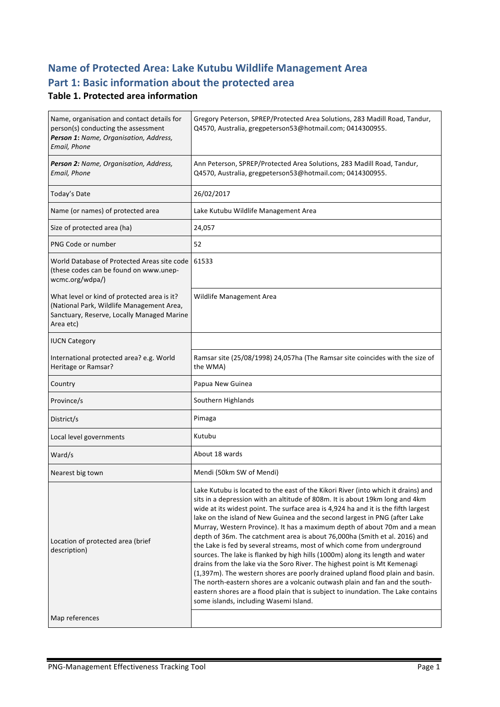# **Name of Protected Area: Lake Kutubu Wildlife Management Area** Part 1: Basic information about the protected area

#### **Table 1. Protected area information**

| Name, organisation and contact details for<br>person(s) conducting the assessment<br>Person 1: Name, Organisation, Address,<br>Email, Phone         | Gregory Peterson, SPREP/Protected Area Solutions, 283 Madill Road, Tandur,<br>Q4570, Australia, gregpeterson53@hotmail.com; 0414300955.                                                                                                                                                                                                                                                                                                                                                                                                                                                                                                                                                                                                                                                                                                                                                                                                                                                                                                   |
|-----------------------------------------------------------------------------------------------------------------------------------------------------|-------------------------------------------------------------------------------------------------------------------------------------------------------------------------------------------------------------------------------------------------------------------------------------------------------------------------------------------------------------------------------------------------------------------------------------------------------------------------------------------------------------------------------------------------------------------------------------------------------------------------------------------------------------------------------------------------------------------------------------------------------------------------------------------------------------------------------------------------------------------------------------------------------------------------------------------------------------------------------------------------------------------------------------------|
| Person 2: Name, Organisation, Address,<br>Email, Phone                                                                                              | Ann Peterson, SPREP/Protected Area Solutions, 283 Madill Road, Tandur,<br>Q4570, Australia, gregpeterson53@hotmail.com; 0414300955.                                                                                                                                                                                                                                                                                                                                                                                                                                                                                                                                                                                                                                                                                                                                                                                                                                                                                                       |
| Today's Date                                                                                                                                        | 26/02/2017                                                                                                                                                                                                                                                                                                                                                                                                                                                                                                                                                                                                                                                                                                                                                                                                                                                                                                                                                                                                                                |
| Name (or names) of protected area                                                                                                                   | Lake Kutubu Wildlife Management Area                                                                                                                                                                                                                                                                                                                                                                                                                                                                                                                                                                                                                                                                                                                                                                                                                                                                                                                                                                                                      |
| Size of protected area (ha)                                                                                                                         | 24,057                                                                                                                                                                                                                                                                                                                                                                                                                                                                                                                                                                                                                                                                                                                                                                                                                                                                                                                                                                                                                                    |
| PNG Code or number                                                                                                                                  | 52                                                                                                                                                                                                                                                                                                                                                                                                                                                                                                                                                                                                                                                                                                                                                                                                                                                                                                                                                                                                                                        |
| World Database of Protected Areas site code<br>(these codes can be found on www.unep-<br>wcmc.org/wdpa/)                                            | 61533                                                                                                                                                                                                                                                                                                                                                                                                                                                                                                                                                                                                                                                                                                                                                                                                                                                                                                                                                                                                                                     |
| What level or kind of protected area is it?<br>(National Park, Wildlife Management Area,<br>Sanctuary, Reserve, Locally Managed Marine<br>Area etc) | Wildlife Management Area                                                                                                                                                                                                                                                                                                                                                                                                                                                                                                                                                                                                                                                                                                                                                                                                                                                                                                                                                                                                                  |
| <b>IUCN Category</b>                                                                                                                                |                                                                                                                                                                                                                                                                                                                                                                                                                                                                                                                                                                                                                                                                                                                                                                                                                                                                                                                                                                                                                                           |
| International protected area? e.g. World<br>Heritage or Ramsar?                                                                                     | Ramsar site (25/08/1998) 24,057ha (The Ramsar site coincides with the size of<br>the WMA)                                                                                                                                                                                                                                                                                                                                                                                                                                                                                                                                                                                                                                                                                                                                                                                                                                                                                                                                                 |
| Country                                                                                                                                             | Papua New Guinea                                                                                                                                                                                                                                                                                                                                                                                                                                                                                                                                                                                                                                                                                                                                                                                                                                                                                                                                                                                                                          |
| Province/s                                                                                                                                          | Southern Highlands                                                                                                                                                                                                                                                                                                                                                                                                                                                                                                                                                                                                                                                                                                                                                                                                                                                                                                                                                                                                                        |
| District/s                                                                                                                                          | Pimaga                                                                                                                                                                                                                                                                                                                                                                                                                                                                                                                                                                                                                                                                                                                                                                                                                                                                                                                                                                                                                                    |
| Local level governments                                                                                                                             | Kutubu                                                                                                                                                                                                                                                                                                                                                                                                                                                                                                                                                                                                                                                                                                                                                                                                                                                                                                                                                                                                                                    |
| Ward/s                                                                                                                                              | About 18 wards                                                                                                                                                                                                                                                                                                                                                                                                                                                                                                                                                                                                                                                                                                                                                                                                                                                                                                                                                                                                                            |
| Nearest big town                                                                                                                                    | Mendi (50km SW of Mendi)                                                                                                                                                                                                                                                                                                                                                                                                                                                                                                                                                                                                                                                                                                                                                                                                                                                                                                                                                                                                                  |
| Location of protected area (brief<br>description)                                                                                                   | Lake Kutubu is located to the east of the Kikori River (into which it drains) and<br>sits in a depression with an altitude of 808m. It is about 19km long and 4km<br>wide at its widest point. The surface area is 4,924 ha and it is the fifth largest<br>lake on the island of New Guinea and the second largest in PNG (after Lake<br>Murray, Western Province). It has a maximum depth of about 70m and a mean<br>depth of 36m. The catchment area is about 76,000ha (Smith et al. 2016) and<br>the Lake is fed by several streams, most of which come from underground<br>sources. The lake is flanked by high hills (1000m) along its length and water<br>drains from the lake via the Soro River. The highest point is Mt Kemenagi<br>(1,397m). The western shores are poorly drained upland flood plain and basin.<br>The north-eastern shores are a volcanic outwash plain and fan and the south-<br>eastern shores are a flood plain that is subject to inundation. The Lake contains<br>some islands, including Wasemi Island. |
| Map references                                                                                                                                      |                                                                                                                                                                                                                                                                                                                                                                                                                                                                                                                                                                                                                                                                                                                                                                                                                                                                                                                                                                                                                                           |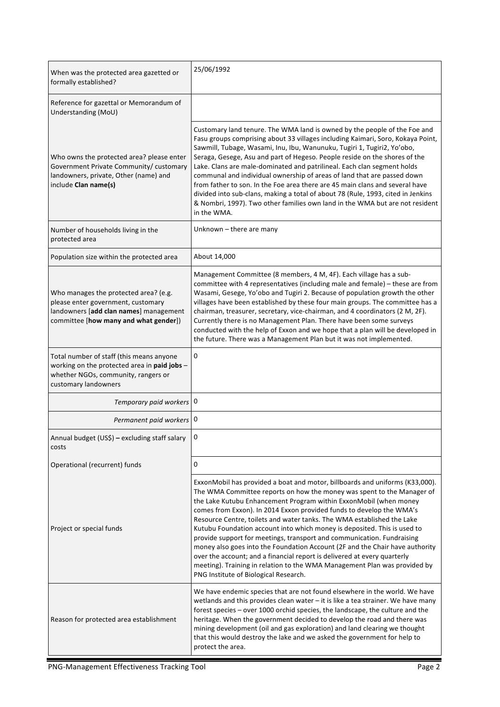| When was the protected area gazetted or<br>formally established?                                                                                               | 25/06/1992                                                                                                                                                                                                                                                                                                                                                                                                                                                                                                                                                                                                                                                                                                                                                                                                            |
|----------------------------------------------------------------------------------------------------------------------------------------------------------------|-----------------------------------------------------------------------------------------------------------------------------------------------------------------------------------------------------------------------------------------------------------------------------------------------------------------------------------------------------------------------------------------------------------------------------------------------------------------------------------------------------------------------------------------------------------------------------------------------------------------------------------------------------------------------------------------------------------------------------------------------------------------------------------------------------------------------|
| Reference for gazettal or Memorandum of<br>Understanding (MoU)                                                                                                 |                                                                                                                                                                                                                                                                                                                                                                                                                                                                                                                                                                                                                                                                                                                                                                                                                       |
| Who owns the protected area? please enter<br>Government Private Community/ customary<br>landowners, private, Other (name) and<br>include Clan name(s)          | Customary land tenure. The WMA land is owned by the people of the Foe and<br>Fasu groups comprising about 33 villages including Kaimari, Soro, Kokaya Point,<br>Sawmill, Tubage, Wasami, Inu, Ibu, Wanunuku, Tugiri 1, Tugiri2, Yo'obo,<br>Seraga, Gesege, Asu and part of Hegeso. People reside on the shores of the<br>Lake. Clans are male-dominated and patrilineal. Each clan segment holds<br>communal and individual ownership of areas of land that are passed down<br>from father to son. In the Foe area there are 45 main clans and several have<br>divided into sub-clans, making a total of about 78 (Rule, 1993, cited in Jenkins<br>& Nombri, 1997). Two other families own land in the WMA but are not resident<br>in the WMA.                                                                        |
| Number of households living in the<br>protected area                                                                                                           | Unknown - there are many                                                                                                                                                                                                                                                                                                                                                                                                                                                                                                                                                                                                                                                                                                                                                                                              |
| Population size within the protected area                                                                                                                      | About 14,000                                                                                                                                                                                                                                                                                                                                                                                                                                                                                                                                                                                                                                                                                                                                                                                                          |
| Who manages the protected area? (e.g.<br>please enter government, customary<br>landowners [add clan names] management<br>committee [how many and what gender]) | Management Committee (8 members, 4 M, 4F). Each village has a sub-<br>committee with 4 representatives (including male and female) - these are from<br>Wasami, Gesege, Yo'obo and Tugiri 2. Because of population growth the other<br>villages have been established by these four main groups. The committee has a<br>chairman, treasurer, secretary, vice-chairman, and 4 coordinators (2 M, 2F).<br>Currently there is no Management Plan. There have been some surveys<br>conducted with the help of Exxon and we hope that a plan will be developed in<br>the future. There was a Management Plan but it was not implemented.                                                                                                                                                                                    |
| Total number of staff (this means anyone<br>working on the protected area in paid jobs -<br>whether NGOs, community, rangers or<br>customary landowners        | 0                                                                                                                                                                                                                                                                                                                                                                                                                                                                                                                                                                                                                                                                                                                                                                                                                     |
| Temporary paid workers   0                                                                                                                                     |                                                                                                                                                                                                                                                                                                                                                                                                                                                                                                                                                                                                                                                                                                                                                                                                                       |
| Permanent paid workers   0                                                                                                                                     |                                                                                                                                                                                                                                                                                                                                                                                                                                                                                                                                                                                                                                                                                                                                                                                                                       |
| Annual budget (US\$) - excluding staff salary<br>costs                                                                                                         |                                                                                                                                                                                                                                                                                                                                                                                                                                                                                                                                                                                                                                                                                                                                                                                                                       |
| Operational (recurrent) funds                                                                                                                                  | 0                                                                                                                                                                                                                                                                                                                                                                                                                                                                                                                                                                                                                                                                                                                                                                                                                     |
| Project or special funds                                                                                                                                       | ExxonMobil has provided a boat and motor, billboards and uniforms (K33,000).<br>The WMA Committee reports on how the money was spent to the Manager of<br>the Lake Kutubu Enhancement Program within ExxonMobil (when money<br>comes from Exxon). In 2014 Exxon provided funds to develop the WMA's<br>Resource Centre, toilets and water tanks. The WMA established the Lake<br>Kutubu Foundation account into which money is deposited. This is used to<br>provide support for meetings, transport and communication. Fundraising<br>money also goes into the Foundation Account (2F and the Chair have authority<br>over the account; and a financial report is delivered at every quarterly<br>meeting). Training in relation to the WMA Management Plan was provided by<br>PNG Institute of Biological Research. |
| Reason for protected area establishment                                                                                                                        | We have endemic species that are not found elsewhere in the world. We have<br>wetlands and this provides clean water - it is like a tea strainer. We have many<br>forest species - over 1000 orchid species, the landscape, the culture and the<br>heritage. When the government decided to develop the road and there was<br>mining development (oil and gas exploration) and land clearing we thought<br>that this would destroy the lake and we asked the government for help to<br>protect the area.                                                                                                                                                                                                                                                                                                              |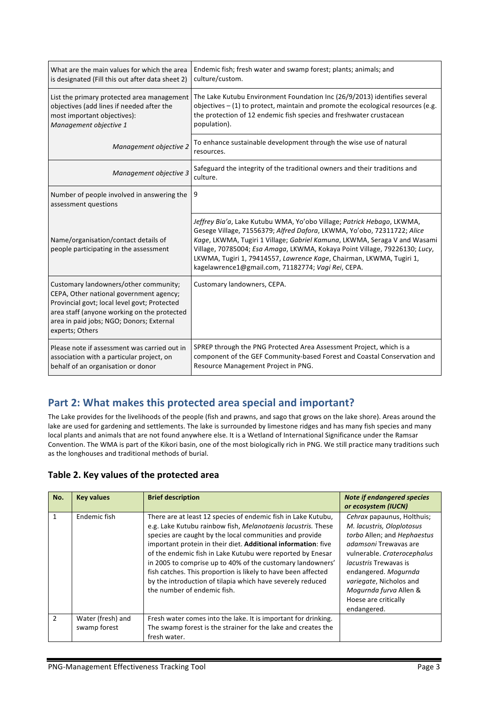| What are the main values for which the area<br>is designated (Fill this out after data sheet 2)                                                                                                                                                | Endemic fish; fresh water and swamp forest; plants; animals; and<br>culture/custom.                                                                                                                                                                                                                                                                                                                                                        |
|------------------------------------------------------------------------------------------------------------------------------------------------------------------------------------------------------------------------------------------------|--------------------------------------------------------------------------------------------------------------------------------------------------------------------------------------------------------------------------------------------------------------------------------------------------------------------------------------------------------------------------------------------------------------------------------------------|
| List the primary protected area management<br>objectives (add lines if needed after the<br>most important objectives):<br>Management objective 1                                                                                               | The Lake Kutubu Environment Foundation Inc (26/9/2013) identifies several<br>objectives $-$ (1) to protect, maintain and promote the ecological resources (e.g.<br>the protection of 12 endemic fish species and freshwater crustacean<br>population).                                                                                                                                                                                     |
| Management objective 2                                                                                                                                                                                                                         | To enhance sustainable development through the wise use of natural<br>resources.                                                                                                                                                                                                                                                                                                                                                           |
| Management objective 3                                                                                                                                                                                                                         | Safeguard the integrity of the traditional owners and their traditions and<br>culture.                                                                                                                                                                                                                                                                                                                                                     |
| Number of people involved in answering the<br>assessment questions                                                                                                                                                                             | 9                                                                                                                                                                                                                                                                                                                                                                                                                                          |
| Name/organisation/contact details of<br>people participating in the assessment                                                                                                                                                                 | Jeffrey Bia'a, Lake Kutubu WMA, Yo'obo Village; Patrick Hebago, LKWMA,<br>Gesege Village, 71556379; Alfred Dafora, LKWMA, Yo'obo, 72311722; Alice<br>Kage, LKWMA, Tugiri 1 Village; Gabriel Kamuna, LKWMA, Seraga V and Wasami<br>Village, 70785004; Esa Amaga, LKWMA, Kokaya Point Village, 79226130; Lucy,<br>LKWMA, Tugiri 1, 79414557, Lawrence Kage, Chairman, LKWMA, Tugiri 1,<br>kagelawrence1@gmail.com, 71182774; Vagi Rei, CEPA. |
| Customary landowners/other community;<br>CEPA, Other national government agency;<br>Provincial govt; local level govt; Protected<br>area staff (anyone working on the protected<br>area in paid jobs; NGO; Donors; External<br>experts; Others | Customary landowners, CEPA.                                                                                                                                                                                                                                                                                                                                                                                                                |
| Please note if assessment was carried out in<br>association with a particular project, on<br>behalf of an organisation or donor                                                                                                                | SPREP through the PNG Protected Area Assessment Project, which is a<br>component of the GEF Community-based Forest and Coastal Conservation and<br>Resource Management Project in PNG.                                                                                                                                                                                                                                                     |

# Part 2: What makes this protected area special and important?

The Lake provides for the livelihoods of the people (fish and prawns, and sago that grows on the lake shore). Areas around the lake are used for gardening and settlements. The lake is surrounded by limestone ridges and has many fish species and many local plants and animals that are not found anywhere else. It is a Wetland of International Significance under the Ramsar Convention. The WMA is part of the Kikori basin, one of the most biologically rich in PNG. We still practice many traditions such as the longhouses and traditional methods of burial.

#### Table 2. Key values of the protected area

| No.            | <b>Key values</b> | <b>Brief description</b>                                                                                                                                                                                                                                                                                                                                                                                                                                                                                                                            | <b>Note if endangered species</b><br>or ecosystem (IUCN)                                                                                                                                                                                                                                                  |
|----------------|-------------------|-----------------------------------------------------------------------------------------------------------------------------------------------------------------------------------------------------------------------------------------------------------------------------------------------------------------------------------------------------------------------------------------------------------------------------------------------------------------------------------------------------------------------------------------------------|-----------------------------------------------------------------------------------------------------------------------------------------------------------------------------------------------------------------------------------------------------------------------------------------------------------|
| $\mathbf{1}$   | Endemic fish      | There are at least 12 species of endemic fish in Lake Kutubu,<br>e.g. Lake Kutubu rainbow fish, Melanotaenis lacustris. These<br>species are caught by the local communities and provide<br>important protein in their diet. Additional information: five<br>of the endemic fish in Lake Kutubu were reported by Enesar<br>in 2005 to comprise up to 40% of the customary landowners'<br>fish catches. This proportion is likely to have been affected<br>by the introduction of tilapia which have severely reduced<br>the number of endemic fish. | Cehrax papaunus, Holthuis;<br>M. lacustris, Oloplotosus<br>torbo Allen; and Hephaestus<br><i>adamsoni</i> Trewavas are<br>vulnerable. Craterocephalus<br><i>lacustris</i> Trewayas is<br>endangered. Mogurnda<br>variegate, Nicholos and<br>Mogurnda furva Allen &<br>Hoese are critically<br>endangered. |
| $\overline{2}$ | Water (fresh) and | Fresh water comes into the lake. It is important for drinking.                                                                                                                                                                                                                                                                                                                                                                                                                                                                                      |                                                                                                                                                                                                                                                                                                           |
|                | swamp forest      | The swamp forest is the strainer for the lake and creates the                                                                                                                                                                                                                                                                                                                                                                                                                                                                                       |                                                                                                                                                                                                                                                                                                           |
|                |                   | fresh water.                                                                                                                                                                                                                                                                                                                                                                                                                                                                                                                                        |                                                                                                                                                                                                                                                                                                           |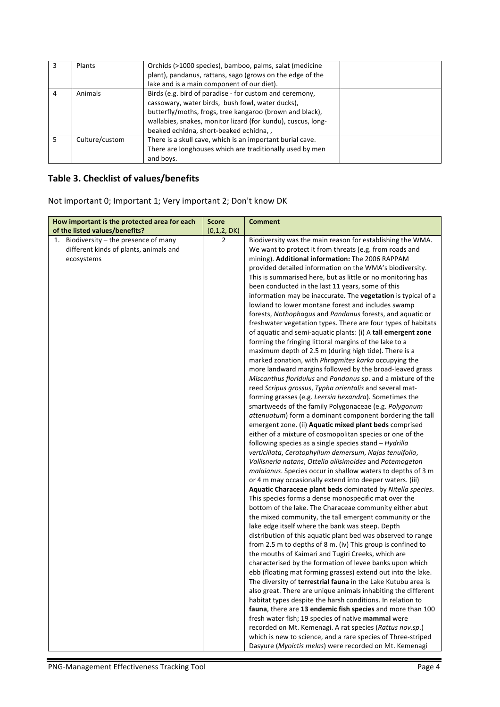|   | Plants         | Orchids (>1000 species), bamboo, palms, salat (medicine<br>plant), pandanus, rattans, sago (grows on the edge of the<br>lake and is a main component of our diet).                                                                                                                |  |
|---|----------------|-----------------------------------------------------------------------------------------------------------------------------------------------------------------------------------------------------------------------------------------------------------------------------------|--|
| 4 | Animals        | Birds (e.g. bird of paradise - for custom and ceremony,<br>cassowary, water birds, bush fowl, water ducks),<br>butterfly/moths, frogs, tree kangaroo (brown and black),<br>wallabies, snakes, monitor lizard (for kundu), cuscus, long-<br>beaked echidna, short-beaked echidna,, |  |
| 5 | Culture/custom | There is a skull cave, which is an important burial cave.<br>There are longhouses which are traditionally used by men<br>and boys.                                                                                                                                                |  |

# **Table 3. Checklist of values/benefits**

Not important 0; Important 1; Very important 2; Don't know DK

| How important is the protected area for each | <b>Score</b>   | <b>Comment</b>                                                                                                          |
|----------------------------------------------|----------------|-------------------------------------------------------------------------------------------------------------------------|
| of the listed values/benefits?               | (0,1,2, DK)    |                                                                                                                         |
| Biodiversity - the presence of many<br>1.    | $\overline{2}$ | Biodiversity was the main reason for establishing the WMA.                                                              |
| different kinds of plants, animals and       |                | We want to protect it from threats (e.g. from roads and                                                                 |
| ecosystems                                   |                | mining). Additional information: The 2006 RAPPAM                                                                        |
|                                              |                | provided detailed information on the WMA's biodiversity.                                                                |
|                                              |                | This is summarised here, but as little or no monitoring has                                                             |
|                                              |                | been conducted in the last 11 years, some of this                                                                       |
|                                              |                | information may be inaccurate. The vegetation is typical of a                                                           |
|                                              |                | lowland to lower montane forest and includes swamp                                                                      |
|                                              |                | forests, Nothophagus and Pandanus forests, and aquatic or                                                               |
|                                              |                | freshwater vegetation types. There are four types of habitats                                                           |
|                                              |                | of aquatic and semi-aquatic plants: (i) A tall emergent zone                                                            |
|                                              |                | forming the fringing littoral margins of the lake to a                                                                  |
|                                              |                | maximum depth of 2.5 m (during high tide). There is a                                                                   |
|                                              |                | marked zonation, with Phragmites karka occupying the                                                                    |
|                                              |                | more landward margins followed by the broad-leaved grass<br>Miscanthus floridulus and Pandanus sp. and a mixture of the |
|                                              |                | reed Scripus grossus, Typha orientalis and several mat-                                                                 |
|                                              |                | forming grasses (e.g. Leersia hexandra). Sometimes the                                                                  |
|                                              |                | smartweeds of the family Polygonaceae (e.g. Polygonum                                                                   |
|                                              |                | attenuatum) form a dominant component bordering the tall                                                                |
|                                              |                | emergent zone. (ii) Aquatic mixed plant beds comprised                                                                  |
|                                              |                | either of a mixture of cosmopolitan species or one of the                                                               |
|                                              |                | following species as a single species stand - Hydrilla                                                                  |
|                                              |                | verticillata, Ceratophyllum demersum, Najas tenuifolia,                                                                 |
|                                              |                | Vallisneria natans, Ottelia allisimoides and Potemogeton                                                                |
|                                              |                | malaianus. Species occur in shallow waters to depths of 3 m                                                             |
|                                              |                | or 4 m may occasionally extend into deeper waters. (iii)                                                                |
|                                              |                | Aquatic Characeae plant beds dominated by Nitella species.                                                              |
|                                              |                | This species forms a dense monospecific mat over the                                                                    |
|                                              |                | bottom of the lake. The Characeae community either abut                                                                 |
|                                              |                | the mixed community, the tall emergent community or the                                                                 |
|                                              |                | lake edge itself where the bank was steep. Depth                                                                        |
|                                              |                | distribution of this aquatic plant bed was observed to range                                                            |
|                                              |                | from 2.5 m to depths of 8 m. (iv) This group is confined to<br>the mouths of Kaimari and Tugiri Creeks, which are       |
|                                              |                | characterised by the formation of levee banks upon which                                                                |
|                                              |                | ebb (floating mat forming grasses) extend out into the lake.                                                            |
|                                              |                | The diversity of terrestrial fauna in the Lake Kutubu area is                                                           |
|                                              |                | also great. There are unique animals inhabiting the different                                                           |
|                                              |                | habitat types despite the harsh conditions. In relation to                                                              |
|                                              |                | fauna, there are 13 endemic fish species and more than 100                                                              |
|                                              |                | fresh water fish; 19 species of native mammal were                                                                      |
|                                              |                | recorded on Mt. Kemenagi. A rat species (Rattus nov.sp.)                                                                |
|                                              |                | which is new to science, and a rare species of Three-striped                                                            |
|                                              |                | Dasyure (Myoictis melas) were recorded on Mt. Kemenagi                                                                  |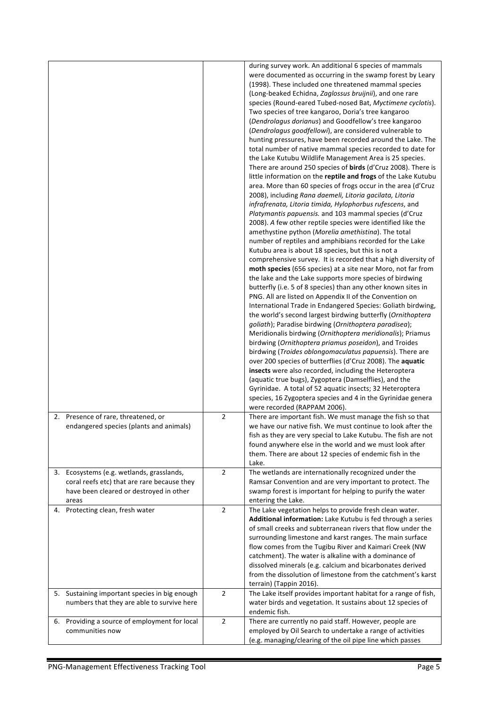|                                                                                                                                              |                | during survey work. An additional 6 species of mammals<br>were documented as occurring in the swamp forest by Leary<br>(1998). These included one threatened mammal species<br>(Long-beaked Echidna, Zaglossus bruijnii), and one rare<br>species (Round-eared Tubed-nosed Bat, Myctimene cyclotis).<br>Two species of tree kangaroo, Doria's tree kangaroo<br>(Dendrolagus dorianus) and Goodfellow's tree kangaroo<br>(Dendrolagus goodfellowi), are considered vulnerable to<br>hunting pressures, have been recorded around the Lake. The<br>total number of native mammal species recorded to date for<br>the Lake Kutubu Wildlife Management Area is 25 species.<br>There are around 250 species of <b>birds</b> (d'Cruz 2008). There is<br>little information on the reptile and frogs of the Lake Kutubu<br>area. More than 60 species of frogs occur in the area (d'Cruz<br>2008), including Rana daemeli, Litoria gacilata, Litoria<br>infrafrenata, Litoria timida, Hylophorbus rufescens, and<br>Platymantis papuensis. and 103 mammal species (d'Cruz<br>2008). A few other reptile species were identified like the<br>amethystine python (Morelia amethistina). The total<br>number of reptiles and amphibians recorded for the Lake<br>Kutubu area is about 18 species, but this is not a<br>comprehensive survey. It is recorded that a high diversity of<br>moth species (656 species) at a site near Moro, not far from<br>the lake and the Lake supports more species of birdwing<br>butterfly (i.e. 5 of 8 species) than any other known sites in<br>PNG. All are listed on Appendix II of the Convention on<br>International Trade in Endangered Species: Goliath birdwing,<br>the world's second largest birdwing butterfly (Ornithoptera<br>goliath); Paradise birdwing (Ornithoptera paradisea);<br>Meridionalis birdwing (Ornithoptera meridionalis); Priamus<br>birdwing (Ornithoptera priamus poseidon), and Troides<br>birdwing (Troides oblongomaculatus papuensis). There are<br>over 200 species of butterflies (d'Cruz 2008). The aquatic<br>insects were also recorded, including the Heteroptera<br>(aquatic true bugs), Zygoptera (Damselflies), and the<br>Gyrinidae. A total of 52 aquatic insects; 32 Heteroptera<br>species, 16 Zygoptera species and 4 in the Gyrinidae genera<br>were recorded (RAPPAM 2006). |
|----------------------------------------------------------------------------------------------------------------------------------------------|----------------|---------------------------------------------------------------------------------------------------------------------------------------------------------------------------------------------------------------------------------------------------------------------------------------------------------------------------------------------------------------------------------------------------------------------------------------------------------------------------------------------------------------------------------------------------------------------------------------------------------------------------------------------------------------------------------------------------------------------------------------------------------------------------------------------------------------------------------------------------------------------------------------------------------------------------------------------------------------------------------------------------------------------------------------------------------------------------------------------------------------------------------------------------------------------------------------------------------------------------------------------------------------------------------------------------------------------------------------------------------------------------------------------------------------------------------------------------------------------------------------------------------------------------------------------------------------------------------------------------------------------------------------------------------------------------------------------------------------------------------------------------------------------------------------------------------------------------------------------------------------------------------------------------------------------------------------------------------------------------------------------------------------------------------------------------------------------------------------------------------------------------------------------------------------------------------------------------------------------------------------------------------------------------------------------------------------------------------------------------------|
| 2. Presence of rare, threatened, or<br>endangered species (plants and animals)                                                               | $\overline{2}$ | There are important fish. We must manage the fish so that<br>we have our native fish. We must continue to look after the<br>fish as they are very special to Lake Kutubu. The fish are not<br>found anywhere else in the world and we must look after<br>them. There are about 12 species of endemic fish in the<br>Lake.                                                                                                                                                                                                                                                                                                                                                                                                                                                                                                                                                                                                                                                                                                                                                                                                                                                                                                                                                                                                                                                                                                                                                                                                                                                                                                                                                                                                                                                                                                                                                                                                                                                                                                                                                                                                                                                                                                                                                                                                                               |
| 3. Ecosystems (e.g. wetlands, grasslands,<br>coral reefs etc) that are rare because they<br>have been cleared or destroyed in other<br>areas | $\overline{2}$ | The wetlands are internationally recognized under the<br>Ramsar Convention and are very important to protect. The<br>swamp forest is important for helping to purify the water<br>entering the Lake.                                                                                                                                                                                                                                                                                                                                                                                                                                                                                                                                                                                                                                                                                                                                                                                                                                                                                                                                                                                                                                                                                                                                                                                                                                                                                                                                                                                                                                                                                                                                                                                                                                                                                                                                                                                                                                                                                                                                                                                                                                                                                                                                                    |
| 4. Protecting clean, fresh water                                                                                                             | $\overline{2}$ | The Lake vegetation helps to provide fresh clean water.<br>Additional information: Lake Kutubu is fed through a series<br>of small creeks and subterranean rivers that flow under the<br>surrounding limestone and karst ranges. The main surface<br>flow comes from the Tugibu River and Kaimari Creek (NW<br>catchment). The water is alkaline with a dominance of<br>dissolved minerals (e.g. calcium and bicarbonates derived<br>from the dissolution of limestone from the catchment's karst<br>terrain) (Tappin 2016).                                                                                                                                                                                                                                                                                                                                                                                                                                                                                                                                                                                                                                                                                                                                                                                                                                                                                                                                                                                                                                                                                                                                                                                                                                                                                                                                                                                                                                                                                                                                                                                                                                                                                                                                                                                                                            |
| Sustaining important species in big enough<br>5.<br>numbers that they are able to survive here                                               | $\overline{2}$ | The Lake itself provides important habitat for a range of fish,<br>water birds and vegetation. It sustains about 12 species of<br>endemic fish.                                                                                                                                                                                                                                                                                                                                                                                                                                                                                                                                                                                                                                                                                                                                                                                                                                                                                                                                                                                                                                                                                                                                                                                                                                                                                                                                                                                                                                                                                                                                                                                                                                                                                                                                                                                                                                                                                                                                                                                                                                                                                                                                                                                                         |
| 6. Providing a source of employment for local<br>communities now                                                                             | $\overline{2}$ | There are currently no paid staff. However, people are<br>employed by Oil Search to undertake a range of activities<br>(e.g. managing/clearing of the oil pipe line which passes                                                                                                                                                                                                                                                                                                                                                                                                                                                                                                                                                                                                                                                                                                                                                                                                                                                                                                                                                                                                                                                                                                                                                                                                                                                                                                                                                                                                                                                                                                                                                                                                                                                                                                                                                                                                                                                                                                                                                                                                                                                                                                                                                                        |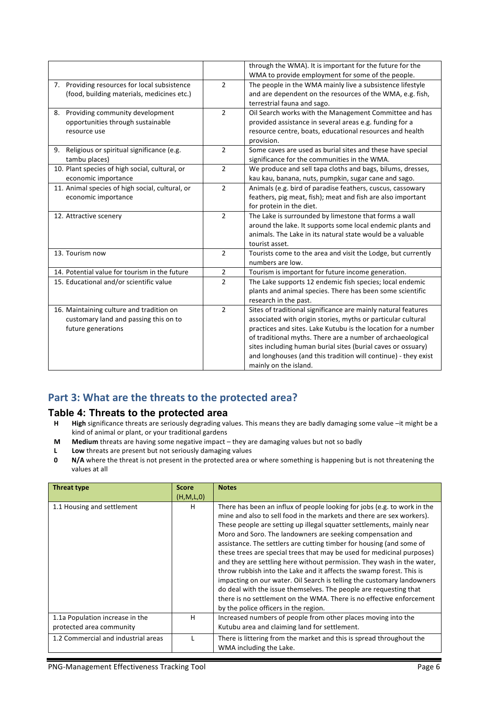|                                                 |                | through the WMA). It is important for the future for the       |
|-------------------------------------------------|----------------|----------------------------------------------------------------|
|                                                 |                | WMA to provide employment for some of the people.              |
| 7. Providing resources for local subsistence    | $\mathcal{P}$  | The people in the WMA mainly live a subsistence lifestyle      |
| (food, building materials, medicines etc.)      |                | and are dependent on the resources of the WMA, e.g. fish,      |
|                                                 |                | terrestrial fauna and sago.                                    |
| 8. Providing community development              | $\overline{2}$ | Oil Search works with the Management Committee and has         |
| opportunities through sustainable               |                | provided assistance in several areas e.g. funding for a        |
| resource use                                    |                | resource centre, boats, educational resources and health       |
|                                                 |                | provision.                                                     |
| 9. Religious or spiritual significance (e.g.    | $\overline{2}$ | Some caves are used as burial sites and these have special     |
| tambu places)                                   |                | significance for the communities in the WMA.                   |
| 10. Plant species of high social, cultural, or  | $\overline{2}$ | We produce and sell tapa cloths and bags, bilums, dresses,     |
| economic importance                             |                | kau kau, banana, nuts, pumpkin, sugar cane and sago.           |
| 11. Animal species of high social, cultural, or | $\mathfrak{D}$ | Animals (e.g. bird of paradise feathers, cuscus, cassowary     |
| economic importance                             |                | feathers, pig meat, fish); meat and fish are also important    |
|                                                 |                | for protein in the diet.                                       |
| 12. Attractive scenery                          | $\overline{2}$ | The Lake is surrounded by limestone that forms a wall          |
|                                                 |                | around the lake. It supports some local endemic plants and     |
|                                                 |                | animals. The Lake in its natural state would be a valuable     |
|                                                 |                | tourist asset.                                                 |
| 13. Tourism now                                 | $\overline{2}$ | Tourists come to the area and visit the Lodge, but currently   |
|                                                 |                | numbers are low.                                               |
| 14. Potential value for tourism in the future   | $\overline{2}$ | Tourism is important for future income generation.             |
| 15. Educational and/or scientific value         | $\overline{2}$ | The Lake supports 12 endemic fish species; local endemic       |
|                                                 |                | plants and animal species. There has been some scientific      |
|                                                 |                | research in the past.                                          |
| 16. Maintaining culture and tradition on        | $\overline{2}$ | Sites of traditional significance are mainly natural features  |
| customary land and passing this on to           |                | associated with origin stories, myths or particular cultural   |
| future generations                              |                | practices and sites. Lake Kutubu is the location for a number  |
|                                                 |                | of traditional myths. There are a number of archaeological     |
|                                                 |                | sites including human burial sites (burial caves or ossuary)   |
|                                                 |                | and longhouses (and this tradition will continue) - they exist |
|                                                 |                | mainly on the island.                                          |

# Part 3: What are the threats to the protected area?

# **Table 4: Threats to the protected area**<br>**H** High significance threats are seriously degrading va

- High significance threats are seriously degrading values. This means they are badly damaging some value -it might be a kind of animal or plant, or your traditional gardens
- **M** Medium threats are having some negative impact they are damaging values but not so badly
- **L** Low threats are present but not seriously damaging values
- **0 N/A** where the threat is not present in the protected area or where something is happening but is not threatening the values at all

| <b>Threat type</b>                  | <b>Score</b> | <b>Notes</b>                                                                                                                                                                                                                                                                                                                                                                                                                                                                                                                                                                                                                                                                                                                                                                                                                                                 |
|-------------------------------------|--------------|--------------------------------------------------------------------------------------------------------------------------------------------------------------------------------------------------------------------------------------------------------------------------------------------------------------------------------------------------------------------------------------------------------------------------------------------------------------------------------------------------------------------------------------------------------------------------------------------------------------------------------------------------------------------------------------------------------------------------------------------------------------------------------------------------------------------------------------------------------------|
|                                     | (H,M,L,0)    |                                                                                                                                                                                                                                                                                                                                                                                                                                                                                                                                                                                                                                                                                                                                                                                                                                                              |
| 1.1 Housing and settlement          | н            | There has been an influx of people looking for jobs (e.g. to work in the<br>mine and also to sell food in the markets and there are sex workers).<br>These people are setting up illegal squatter settlements, mainly near<br>Moro and Soro. The landowners are seeking compensation and<br>assistance. The settlers are cutting timber for housing (and some of<br>these trees are special trees that may be used for medicinal purposes)<br>and they are settling here without permission. They wash in the water,<br>throw rubbish into the Lake and it affects the swamp forest. This is<br>impacting on our water. Oil Search is telling the customary landowners<br>do deal with the issue themselves. The people are requesting that<br>there is no settlement on the WMA. There is no effective enforcement<br>by the police officers in the region. |
| 1.1a Population increase in the     | н            | Increased numbers of people from other places moving into the                                                                                                                                                                                                                                                                                                                                                                                                                                                                                                                                                                                                                                                                                                                                                                                                |
| protected area community            |              | Kutubu area and claiming land for settlement.                                                                                                                                                                                                                                                                                                                                                                                                                                                                                                                                                                                                                                                                                                                                                                                                                |
| 1.2 Commercial and industrial areas |              | There is littering from the market and this is spread throughout the<br>WMA including the Lake.                                                                                                                                                                                                                                                                                                                                                                                                                                                                                                                                                                                                                                                                                                                                                              |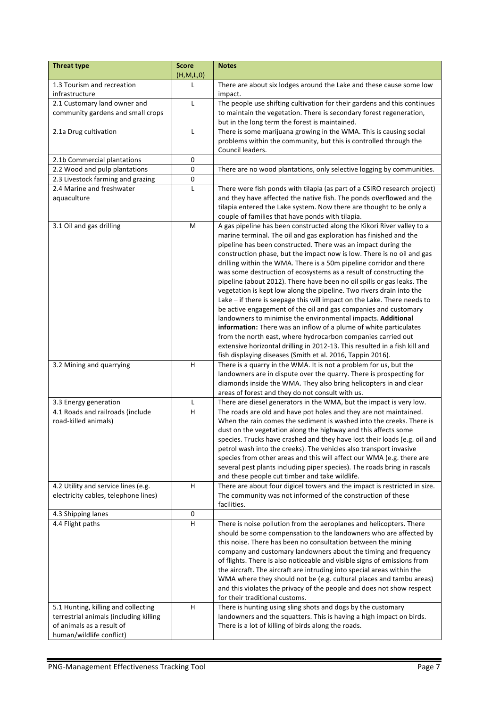| <b>Threat type</b>                     | <b>Score</b><br>(H,M,L,0) | <b>Notes</b>                                                                                                                                    |
|----------------------------------------|---------------------------|-------------------------------------------------------------------------------------------------------------------------------------------------|
| 1.3 Tourism and recreation             | L                         | There are about six lodges around the Lake and these cause some low                                                                             |
| infrastructure                         |                           | impact.                                                                                                                                         |
| 2.1 Customary land owner and           | L                         | The people use shifting cultivation for their gardens and this continues                                                                        |
| community gardens and small crops      |                           | to maintain the vegetation. There is secondary forest regeneration,                                                                             |
|                                        |                           | but in the long term the forest is maintained.                                                                                                  |
| 2.1a Drug cultivation                  | L                         | There is some marijuana growing in the WMA. This is causing social                                                                              |
|                                        |                           | problems within the community, but this is controlled through the                                                                               |
|                                        |                           | Council leaders.                                                                                                                                |
| 2.1b Commercial plantations            | 0                         |                                                                                                                                                 |
| 2.2 Wood and pulp plantations          | $\pmb{0}$                 | There are no wood plantations, only selective logging by communities.                                                                           |
| 2.3 Livestock farming and grazing      | 0                         |                                                                                                                                                 |
| 2.4 Marine and freshwater              | L                         | There were fish ponds with tilapia (as part of a CSIRO research project)                                                                        |
| aquaculture                            |                           | and they have affected the native fish. The ponds overflowed and the                                                                            |
|                                        |                           | tilapia entered the Lake system. Now there are thought to be only a                                                                             |
|                                        |                           | couple of families that have ponds with tilapia.                                                                                                |
| 3.1 Oil and gas drilling               | M                         | A gas pipeline has been constructed along the Kikori River valley to a                                                                          |
|                                        |                           | marine terminal. The oil and gas exploration has finished and the                                                                               |
|                                        |                           | pipeline has been constructed. There was an impact during the                                                                                   |
|                                        |                           | construction phase, but the impact now is low. There is no oil and gas                                                                          |
|                                        |                           | drilling within the WMA. There is a 50m pipeline corridor and there                                                                             |
|                                        |                           | was some destruction of ecosystems as a result of constructing the                                                                              |
|                                        |                           | pipeline (about 2012). There have been no oil spills or gas leaks. The                                                                          |
|                                        |                           | vegetation is kept low along the pipeline. Two rivers drain into the                                                                            |
|                                        |                           | Lake $-$ if there is seepage this will impact on the Lake. There needs to                                                                       |
|                                        |                           | be active engagement of the oil and gas companies and customary                                                                                 |
|                                        |                           | landowners to minimise the environmental impacts. Additional                                                                                    |
|                                        |                           | information: There was an inflow of a plume of white particulates                                                                               |
|                                        |                           | from the north east, where hydrocarbon companies carried out                                                                                    |
|                                        |                           | extensive horizontal drilling in 2012-13. This resulted in a fish kill and                                                                      |
|                                        |                           | fish displaying diseases (Smith et al. 2016, Tappin 2016).                                                                                      |
| 3.2 Mining and quarrying               | н                         | There is a quarry in the WMA. It is not a problem for us, but the                                                                               |
|                                        |                           | landowners are in dispute over the quarry. There is prospecting for                                                                             |
|                                        |                           | diamonds inside the WMA. They also bring helicopters in and clear                                                                               |
|                                        |                           | areas of forest and they do not consult with us.                                                                                                |
| 3.3 Energy generation                  | L                         | There are diesel generators in the WMA, but the impact is very low.                                                                             |
| 4.1 Roads and railroads (include       | H                         | The roads are old and have pot holes and they are not maintained.                                                                               |
| road-killed animals)                   |                           | When the rain comes the sediment is washed into the creeks. There is                                                                            |
|                                        |                           | dust on the vegetation along the highway and this affects some                                                                                  |
|                                        |                           | species. Trucks have crashed and they have lost their loads (e.g. oil and<br>petrol wash into the creeks). The vehicles also transport invasive |
|                                        |                           | species from other areas and this will affect our WMA (e.g. there are                                                                           |
|                                        |                           | several pest plants including piper species). The roads bring in rascals                                                                        |
|                                        |                           | and these people cut timber and take wildlife.                                                                                                  |
| 4.2 Utility and service lines (e.g.    | H                         | There are about four digicel towers and the impact is restricted in size.                                                                       |
| electricity cables, telephone lines)   |                           | The community was not informed of the construction of these                                                                                     |
|                                        |                           | facilities.                                                                                                                                     |
| 4.3 Shipping lanes                     | 0                         |                                                                                                                                                 |
| 4.4 Flight paths                       | $\overline{H}$            | There is noise pollution from the aeroplanes and helicopters. There                                                                             |
|                                        |                           | should be some compensation to the landowners who are affected by                                                                               |
|                                        |                           | this noise. There has been no consultation between the mining                                                                                   |
|                                        |                           | company and customary landowners about the timing and frequency                                                                                 |
|                                        |                           | of flights. There is also noticeable and visible signs of emissions from                                                                        |
|                                        |                           | the aircraft. The aircraft are intruding into special areas within the                                                                          |
|                                        |                           | WMA where they should not be (e.g. cultural places and tambu areas)                                                                             |
|                                        |                           | and this violates the privacy of the people and does not show respect                                                                           |
|                                        |                           | for their traditional customs.                                                                                                                  |
| 5.1 Hunting, killing and collecting    | н                         | There is hunting using sling shots and dogs by the customary                                                                                    |
| terrestrial animals (including killing |                           | landowners and the squatters. This is having a high impact on birds.                                                                            |
| of animals as a result of              |                           | There is a lot of killing of birds along the roads.                                                                                             |
| human/wildlife conflict)               |                           |                                                                                                                                                 |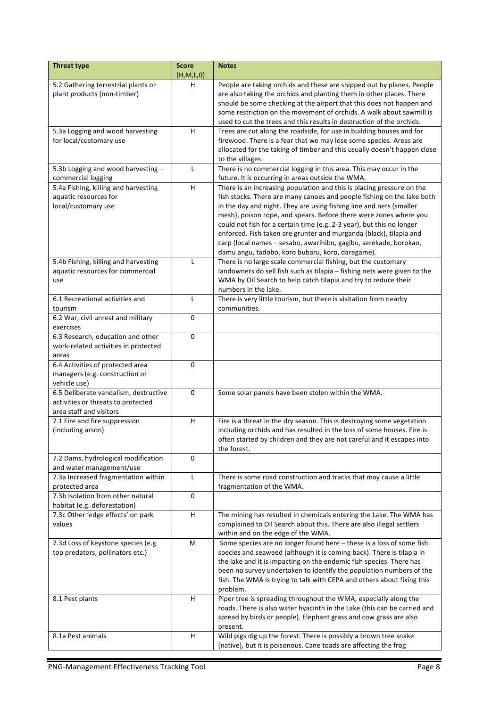| <b>Threat type</b>                                            | <b>Score</b> | <b>Notes</b>                                                                                                                                    |
|---------------------------------------------------------------|--------------|-------------------------------------------------------------------------------------------------------------------------------------------------|
|                                                               | (H,M,L,0)    |                                                                                                                                                 |
| 5.2 Gathering terrestrial plants or                           | н            | People are taking orchids and these are shipped out by planes. People                                                                           |
| plant products (non-timber)                                   |              | are also taking the orchids and planting them in other places. There<br>should be some checking at the airport that this does not happen and    |
|                                                               |              | some restriction on the movement of orchids. A walk about sawmill is                                                                            |
|                                                               |              | used to cut the trees and this results in destruction of the orchids.                                                                           |
| 5.3a Logging and wood harvesting                              | H.           | Trees are cut along the roadside, for use in building houses and for                                                                            |
| for local/customary use                                       |              | firewood. There is a fear that we may lose some species. Areas are                                                                              |
|                                                               |              | allocated for the taking of timber and this usually doesn't happen close                                                                        |
|                                                               |              | to the villages.                                                                                                                                |
| 5.3b Logging and wood harvesting -                            | L            | There is no commercial logging in this area. This may occur in the                                                                              |
| commercial logging                                            |              | future. It is occurring in areas outside the WMA.                                                                                               |
| 5.4a Fishing, killing and harvesting<br>aquatic resources for | н            | There is an increasing population and this is placing pressure on the<br>fish stocks. There are many canoes and people fishing on the lake both |
| local/customary use                                           |              | in the day and night. They are using fishing line and nets (smaller                                                                             |
|                                                               |              | mesh), poison rope, and spears. Before there were zones where you                                                                               |
|                                                               |              | could not fish for a certain time (e.g. 2-3 year), but this no longer                                                                           |
|                                                               |              | enforced. Fish taken are grunter and murganda (black), tilapia and                                                                              |
|                                                               |              | carp (local names - sesabo, awarihibu, gagibu, serekade, borokao,                                                                               |
|                                                               |              | damu angu, tadobo, koro bubaru, koro, daregame).                                                                                                |
| 5.4b Fishing, killing and harvesting                          | $\mathbf{L}$ | There is no large scale commercial fishing, but the customary                                                                                   |
| aquatic resources for commercial                              |              | landowners do sell fish such as tilapia - fishing nets were given to the                                                                        |
| use                                                           |              | WMA by Oil Search to help catch tilapia and try to reduce their                                                                                 |
|                                                               |              | numbers in the lake.                                                                                                                            |
| 6.1 Recreational activities and<br>tourism                    | L            | There is very little tourism, but there is visitation from nearby<br>communities.                                                               |
| 6.2 War, civil unrest and military                            | 0            |                                                                                                                                                 |
| exercises                                                     |              |                                                                                                                                                 |
| 6.3 Research, education and other                             | $\Omega$     |                                                                                                                                                 |
| work-related activities in protected                          |              |                                                                                                                                                 |
| areas                                                         |              |                                                                                                                                                 |
| 6.4 Activities of protected area                              | 0            |                                                                                                                                                 |
| managers (e.g. construction or                                |              |                                                                                                                                                 |
| vehicle use)                                                  |              |                                                                                                                                                 |
| 6.5 Deliberate vandalism, destructive                         | 0            | Some solar panels have been stolen within the WMA.                                                                                              |
| activities or threats to protected<br>area staff and visitors |              |                                                                                                                                                 |
| 7.1 Fire and fire suppression                                 | H.           | Fire is a threat in the dry season. This is destroying some vegetation                                                                          |
| (including arson)                                             |              | including orchids and has resulted in the loss of some houses. Fire is                                                                          |
|                                                               |              | often started by children and they are not careful and it escapes into                                                                          |
|                                                               |              | the forest.                                                                                                                                     |
| 7.2 Dams, hydrological modification                           | 0            |                                                                                                                                                 |
| and water management/use                                      |              |                                                                                                                                                 |
| 7.3a Increased fragmentation within                           | L            | There is some road construction and tracks that may cause a little                                                                              |
| protected area<br>7.3b Isolation from other natural           | 0            | fragmentation of the WMA.                                                                                                                       |
| habitat (e.g. deforestation)                                  |              |                                                                                                                                                 |
| 7.3c Other 'edge effects' on park                             | H            | The mining has resulted in chemicals entering the Lake. The WMA has                                                                             |
| values                                                        |              | complained to Oil Search about this. There are also illegal settlers                                                                            |
|                                                               |              | within and on the edge of the WMA.                                                                                                              |
| 7.3d Loss of keystone species (e.g.                           | М            | Some species are no longer found here - these is a loss of some fish                                                                            |
| top predators, pollinators etc.)                              |              | species and seaweed (although it is coming back). There is tilapia in                                                                           |
|                                                               |              | the lake and it is impacting on the endemic fish species. There has                                                                             |
|                                                               |              | been no survey undertaken to identify the population numbers of the                                                                             |
|                                                               |              | fish. The WMA is trying to talk with CEPA and others about fixing this<br>problem.                                                              |
| 8.1 Pest plants                                               | H.           | Piper tree is spreading throughout the WMA, especially along the                                                                                |
|                                                               |              | roads. There is also water hyacinth in the Lake (this can be carried and                                                                        |
|                                                               |              | spread by birds or people). Elephant grass and cow grass are also                                                                               |
|                                                               |              | present.                                                                                                                                        |
| 8.1a Pest animals                                             | H            | Wild pigs dig up the forest. There is possibly a brown tree snake                                                                               |
|                                                               |              | (native), but it is poisonous. Cane toads are affecting the frog                                                                                |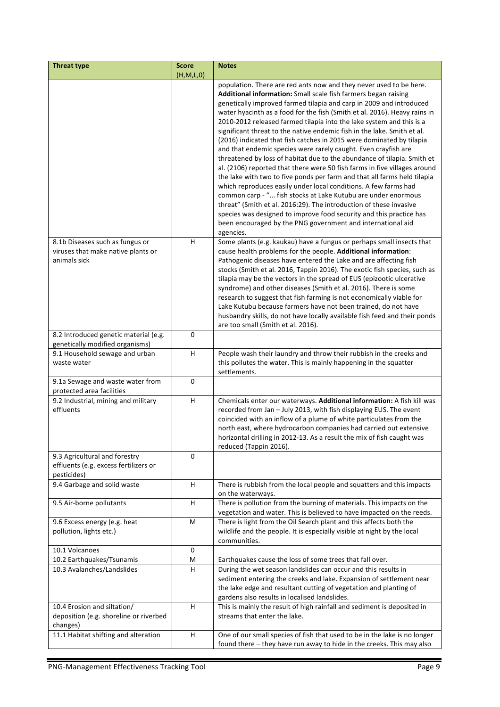| <b>Threat type</b>                                      | <b>Score</b><br>(H,M,L,0) | <b>Notes</b>                                                                                                                                |
|---------------------------------------------------------|---------------------------|---------------------------------------------------------------------------------------------------------------------------------------------|
|                                                         |                           | population. There are red ants now and they never used to be here.                                                                          |
|                                                         |                           | Additional information: Small scale fish farmers began raising                                                                              |
|                                                         |                           | genetically improved farmed tilapia and carp in 2009 and introduced                                                                         |
|                                                         |                           | water hyacinth as a food for the fish (Smith et al. 2016). Heavy rains in                                                                   |
|                                                         |                           | 2010-2012 released farmed tilapia into the lake system and this is a                                                                        |
|                                                         |                           | significant threat to the native endemic fish in the lake. Smith et al.                                                                     |
|                                                         |                           | (2016) indicated that fish catches in 2015 were dominated by tilapia                                                                        |
|                                                         |                           | and that endemic species were rarely caught. Even crayfish are                                                                              |
|                                                         |                           | threatened by loss of habitat due to the abundance of tilapia. Smith et                                                                     |
|                                                         |                           | al. (2106) reported that there were 50 fish farms in five villages around                                                                   |
|                                                         |                           | the lake with two to five ponds per farm and that all farms held tilapia                                                                    |
|                                                         |                           | which reproduces easily under local conditions. A few farms had                                                                             |
|                                                         |                           | common carp - " fish stocks at Lake Kutubu are under enormous                                                                               |
|                                                         |                           | threat" (Smith et al. 2016:29). The introduction of these invasive                                                                          |
|                                                         |                           | species was designed to improve food security and this practice has                                                                         |
|                                                         |                           | been encouraged by the PNG government and international aid                                                                                 |
|                                                         |                           | agencies.                                                                                                                                   |
| 8.1b Diseases such as fungus or                         | H.                        | Some plants (e.g. kaukau) have a fungus or perhaps small insects that                                                                       |
| viruses that make native plants or                      |                           | cause health problems for the people. Additional information:                                                                               |
| animals sick                                            |                           | Pathogenic diseases have entered the Lake and are affecting fish                                                                            |
|                                                         |                           | stocks (Smith et al. 2016, Tappin 2016). The exotic fish species, such as                                                                   |
|                                                         |                           | tilapia may be the vectors in the spread of EUS (epizootic ulcerative                                                                       |
|                                                         |                           | syndrome) and other diseases (Smith et al. 2016). There is some                                                                             |
|                                                         |                           | research to suggest that fish farming is not economically viable for<br>Lake Kutubu because farmers have not been trained, do not have      |
|                                                         |                           | husbandry skills, do not have locally available fish feed and their ponds                                                                   |
|                                                         |                           | are too small (Smith et al. 2016).                                                                                                          |
| 8.2 Introduced genetic material (e.g.                   | 0                         |                                                                                                                                             |
| genetically modified organisms)                         |                           |                                                                                                                                             |
| 9.1 Household sewage and urban                          | H                         | People wash their laundry and throw their rubbish in the creeks and                                                                         |
| waste water                                             |                           | this pollutes the water. This is mainly happening in the squatter                                                                           |
|                                                         |                           | settlements.                                                                                                                                |
| 9.1a Sewage and waste water from                        | 0                         |                                                                                                                                             |
| protected area facilities                               |                           |                                                                                                                                             |
| 9.2 Industrial, mining and military                     | H                         | Chemicals enter our waterways. Additional information: A fish kill was                                                                      |
| effluents                                               |                           | recorded from Jan - July 2013, with fish displaying EUS. The event                                                                          |
|                                                         |                           | coincided with an inflow of a plume of white particulates from the                                                                          |
|                                                         |                           | north east, where hydrocarbon companies had carried out extensive<br>horizontal drilling in 2012-13. As a result the mix of fish caught was |
|                                                         |                           | reduced (Tappin 2016).                                                                                                                      |
| 9.3 Agricultural and forestry                           | 0                         |                                                                                                                                             |
| effluents (e.g. excess fertilizers or                   |                           |                                                                                                                                             |
| pesticides)                                             |                           |                                                                                                                                             |
| 9.4 Garbage and solid waste                             | Н                         | There is rubbish from the local people and squatters and this impacts                                                                       |
|                                                         |                           | on the waterways.                                                                                                                           |
| 9.5 Air-borne pollutants                                | н                         | There is pollution from the burning of materials. This impacts on the                                                                       |
|                                                         |                           | vegetation and water. This is believed to have impacted on the reeds.                                                                       |
| 9.6 Excess energy (e.g. heat                            | М                         | There is light from the Oil Search plant and this affects both the                                                                          |
| pollution, lights etc.)                                 |                           | wildlife and the people. It is especially visible at night by the local                                                                     |
|                                                         |                           | communities.                                                                                                                                |
| 10.1 Volcanoes                                          | $\pmb{0}$                 | Earthquakes cause the loss of some trees that fall over.                                                                                    |
| 10.2 Earthquakes/Tsunamis<br>10.3 Avalanches/Landslides | M<br>H                    | During the wet season landslides can occur and this results in                                                                              |
|                                                         |                           | sediment entering the creeks and lake. Expansion of settlement near                                                                         |
|                                                         |                           | the lake edge and resultant cutting of vegetation and planting of                                                                           |
|                                                         |                           | gardens also results in localised landslides.                                                                                               |
| 10.4 Erosion and siltation/                             | H                         | This is mainly the result of high rainfall and sediment is deposited in                                                                     |
| deposition (e.g. shoreline or riverbed                  |                           | streams that enter the lake.                                                                                                                |
| changes)                                                |                           |                                                                                                                                             |
| 11.1 Habitat shifting and alteration                    | H                         | One of our small species of fish that used to be in the lake is no longer                                                                   |
|                                                         |                           | found there - they have run away to hide in the creeks. This may also                                                                       |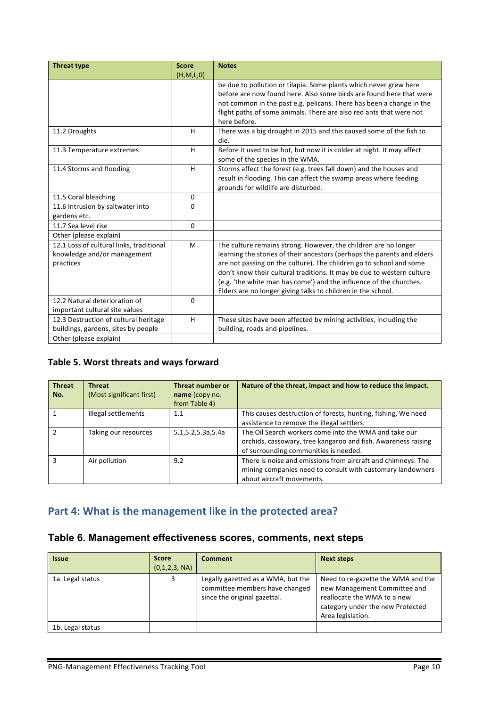| <b>Threat type</b>                       | <b>Score</b> | <b>Notes</b>                                                            |
|------------------------------------------|--------------|-------------------------------------------------------------------------|
|                                          | (H,M,L,0)    |                                                                         |
|                                          |              | be due to pollution or tilapia. Some plants which never grew here       |
|                                          |              | before are now found here. Also some birds are found here that were     |
|                                          |              | not common in the past e.g. pelicans. There has been a change in the    |
|                                          |              | flight paths of some animals. There are also red ants that were not     |
|                                          |              | here before.                                                            |
| 11.2 Droughts                            | H            | There was a big drought in 2015 and this caused some of the fish to     |
|                                          |              | die.                                                                    |
| 11.3 Temperature extremes                | H            | Before it used to be hot, but now it is colder at night. It may affect  |
|                                          |              | some of the species in the WMA.                                         |
| 11.4 Storms and flooding                 | H            | Storms affect the forest (e.g. trees fall down) and the houses and      |
|                                          |              | result in flooding. This can affect the swamp areas where feeding       |
|                                          |              | grounds for wildlife are disturbed.                                     |
| 11.5 Coral bleaching                     | $\mathbf{0}$ |                                                                         |
| 11.6 Intrusion by saltwater into         | 0            |                                                                         |
| gardens etc.                             |              |                                                                         |
| 11.7 Sea level rise                      | $\mathbf{0}$ |                                                                         |
| Other (please explain)                   |              |                                                                         |
| 12.1 Loss of cultural links, traditional | M            | The culture remains strong. However, the children are no longer         |
| knowledge and/or management              |              | learning the stories of their ancestors (perhaps the parents and elders |
| practices                                |              | are not passing on the culture). The children go to school and some     |
|                                          |              | don't know their cultural traditions. It may be due to western culture  |
|                                          |              | (e.g. 'the white man has come') and the influence of the churches.      |
|                                          |              | Elders are no longer giving talks to children in the school.            |
| 12.2 Natural deterioration of            | 0            |                                                                         |
| important cultural site values           |              |                                                                         |
| 12.3 Destruction of cultural heritage    | H            | These sites have been affected by mining activities, including the      |
| buildings, gardens, sites by people      |              | building, roads and pipelines.                                          |
| Other (please explain)                   |              |                                                                         |

#### Table 5. Worst threats and ways forward

| <b>Threat</b><br>No. | <b>Threat</b><br>(Most significant first) | Threat number or<br>name (copy no.<br>from Table 4) | Nature of the threat, impact and how to reduce the impact.                                                                                                      |
|----------------------|-------------------------------------------|-----------------------------------------------------|-----------------------------------------------------------------------------------------------------------------------------------------------------------------|
|                      | Illegal settlements                       | 1.1                                                 | This causes destruction of forests, hunting, fishing, We need<br>assistance to remove the illegal settlers.                                                     |
|                      | Taking our resources                      | 5.1, 5.2, 5.3 a, 5.4 a                              | The Oil Search workers come into the WMA and take our<br>orchids, cassowary, tree kangaroo and fish. Awareness raising<br>of surrounding communities is needed. |
| з                    | Air pollution                             | 9.2                                                 | There is noise and emissions from aircraft and chimneys. The<br>mining companies need to consult with customary landowners<br>about aircraft movements.         |

# Part 4: What is the management like in the protected area?

## **Table 6. Management effectiveness scores, comments, next steps**

| <b>Issue</b>     | <b>Score</b><br>(0,1,2,3, NA) | <b>Comment</b>                                                                                       | <b>Next steps</b>                                                                                                                                          |
|------------------|-------------------------------|------------------------------------------------------------------------------------------------------|------------------------------------------------------------------------------------------------------------------------------------------------------------|
| 1a. Legal status | 3                             | Legally gazetted as a WMA, but the<br>committee members have changed<br>since the original gazettal. | Need to re-gazette the WMA and the<br>new Management Committee and<br>reallocate the WMA to a new<br>category under the new Protected<br>Area legislation. |
| 1b. Legal status |                               |                                                                                                      |                                                                                                                                                            |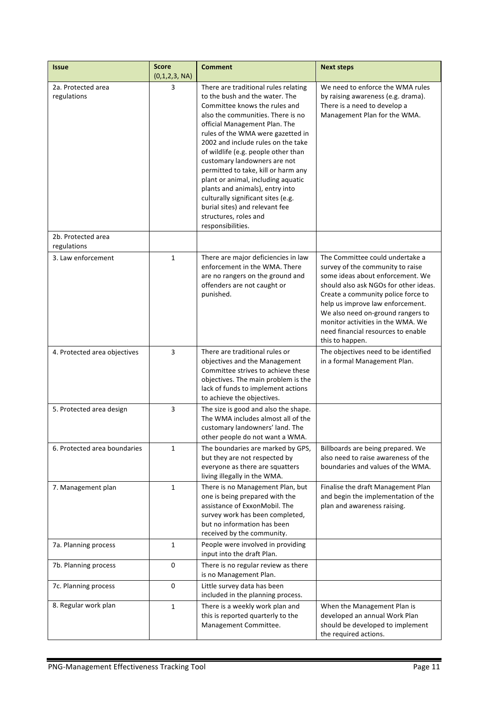| <b>Issue</b>                      | <b>Score</b><br>(0,1,2,3, NA) | <b>Comment</b>                                                                                                                                                                                                                                                                                                                                                                                                                                                                                                                                                        | <b>Next steps</b>                                                                                                                                                                                                                                                                                                                                             |
|-----------------------------------|-------------------------------|-----------------------------------------------------------------------------------------------------------------------------------------------------------------------------------------------------------------------------------------------------------------------------------------------------------------------------------------------------------------------------------------------------------------------------------------------------------------------------------------------------------------------------------------------------------------------|---------------------------------------------------------------------------------------------------------------------------------------------------------------------------------------------------------------------------------------------------------------------------------------------------------------------------------------------------------------|
| 2a. Protected area<br>regulations | 3                             | There are traditional rules relating<br>to the bush and the water. The<br>Committee knows the rules and<br>also the communities. There is no<br>official Management Plan. The<br>rules of the WMA were gazetted in<br>2002 and include rules on the take<br>of wildlife (e.g. people other than<br>customary landowners are not<br>permitted to take, kill or harm any<br>plant or animal, including aquatic<br>plants and animals), entry into<br>culturally significant sites (e.g.<br>burial sites) and relevant fee<br>structures, roles and<br>responsibilities. | We need to enforce the WMA rules<br>by raising awareness (e.g. drama).<br>There is a need to develop a<br>Management Plan for the WMA.                                                                                                                                                                                                                        |
| 2b. Protected area<br>regulations |                               |                                                                                                                                                                                                                                                                                                                                                                                                                                                                                                                                                                       |                                                                                                                                                                                                                                                                                                                                                               |
| 3. Law enforcement                | $\mathbf{1}$                  | There are major deficiencies in law<br>enforcement in the WMA. There<br>are no rangers on the ground and<br>offenders are not caught or<br>punished.                                                                                                                                                                                                                                                                                                                                                                                                                  | The Committee could undertake a<br>survey of the community to raise<br>some ideas about enforcement. We<br>should also ask NGOs for other ideas.<br>Create a community police force to<br>help us improve law enforcement.<br>We also need on-ground rangers to<br>monitor activities in the WMA. We<br>need financial resources to enable<br>this to happen. |
| 4. Protected area objectives      | 3                             | There are traditional rules or<br>objectives and the Management<br>Committee strives to achieve these<br>objectives. The main problem is the<br>lack of funds to implement actions<br>to achieve the objectives.                                                                                                                                                                                                                                                                                                                                                      | The objectives need to be identified<br>in a formal Management Plan.                                                                                                                                                                                                                                                                                          |
| 5. Protected area design          | 3                             | The size is good and also the shape.<br>The WMA includes almost all of the<br>customary landowners' land. The<br>other people do not want a WMA.                                                                                                                                                                                                                                                                                                                                                                                                                      |                                                                                                                                                                                                                                                                                                                                                               |
| 6. Protected area boundaries      | 1                             | The boundaries are marked by GPS,<br>but they are not respected by<br>everyone as there are squatters<br>living illegally in the WMA.                                                                                                                                                                                                                                                                                                                                                                                                                                 | Billboards are being prepared. We<br>also need to raise awareness of the<br>boundaries and values of the WMA.                                                                                                                                                                                                                                                 |
| 7. Management plan                | $\mathbf{1}$                  | There is no Management Plan, but<br>one is being prepared with the<br>assistance of ExxonMobil. The<br>survey work has been completed,<br>but no information has been<br>received by the community.                                                                                                                                                                                                                                                                                                                                                                   | Finalise the draft Management Plan<br>and begin the implementation of the<br>plan and awareness raising.                                                                                                                                                                                                                                                      |
| 7a. Planning process              | $\mathbf{1}$                  | People were involved in providing<br>input into the draft Plan.                                                                                                                                                                                                                                                                                                                                                                                                                                                                                                       |                                                                                                                                                                                                                                                                                                                                                               |
| 7b. Planning process              | 0                             | There is no regular review as there<br>is no Management Plan.                                                                                                                                                                                                                                                                                                                                                                                                                                                                                                         |                                                                                                                                                                                                                                                                                                                                                               |
| 7c. Planning process              | 0                             | Little survey data has been<br>included in the planning process.                                                                                                                                                                                                                                                                                                                                                                                                                                                                                                      |                                                                                                                                                                                                                                                                                                                                                               |
| 8. Regular work plan              | $\mathbf{1}$                  | There is a weekly work plan and<br>this is reported quarterly to the<br>Management Committee.                                                                                                                                                                                                                                                                                                                                                                                                                                                                         | When the Management Plan is<br>developed an annual Work Plan<br>should be developed to implement<br>the required actions.                                                                                                                                                                                                                                     |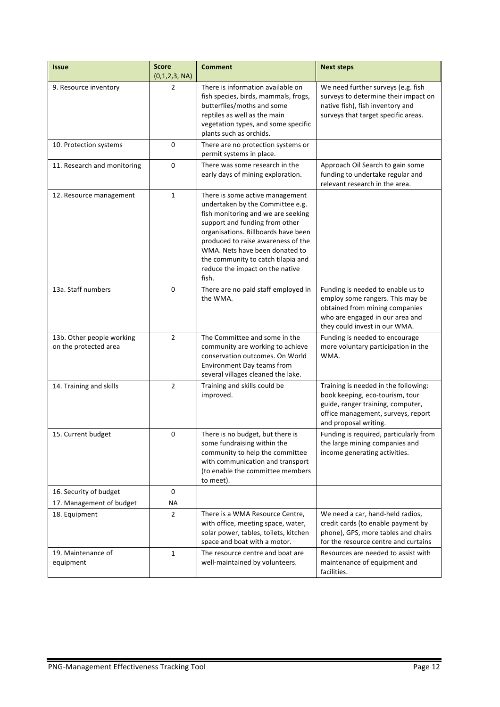| <b>Issue</b>                                       | <b>Score</b><br>(0,1,2,3, NA) | <b>Comment</b>                                                                                                                                                                                                                                                                                                                               | <b>Next steps</b>                                                                                                                                                           |
|----------------------------------------------------|-------------------------------|----------------------------------------------------------------------------------------------------------------------------------------------------------------------------------------------------------------------------------------------------------------------------------------------------------------------------------------------|-----------------------------------------------------------------------------------------------------------------------------------------------------------------------------|
| 9. Resource inventory                              | 2                             | There is information available on<br>fish species, birds, mammals, frogs,<br>butterflies/moths and some<br>reptiles as well as the main<br>vegetation types, and some specific<br>plants such as orchids.                                                                                                                                    | We need further surveys (e.g. fish<br>surveys to determine their impact on<br>native fish), fish inventory and<br>surveys that target specific areas.                       |
| 10. Protection systems                             | 0                             | There are no protection systems or<br>permit systems in place.                                                                                                                                                                                                                                                                               |                                                                                                                                                                             |
| 11. Research and monitoring                        | 0                             | There was some research in the<br>early days of mining exploration.                                                                                                                                                                                                                                                                          | Approach Oil Search to gain some<br>funding to undertake regular and<br>relevant research in the area.                                                                      |
| 12. Resource management                            | $\mathbf{1}$                  | There is some active management<br>undertaken by the Committee e.g.<br>fish monitoring and we are seeking<br>support and funding from other<br>organisations. Billboards have been<br>produced to raise awareness of the<br>WMA. Nets have been donated to<br>the community to catch tilapia and<br>reduce the impact on the native<br>fish. |                                                                                                                                                                             |
| 13a. Staff numbers                                 | 0                             | There are no paid staff employed in<br>the WMA.                                                                                                                                                                                                                                                                                              | Funding is needed to enable us to<br>employ some rangers. This may be<br>obtained from mining companies<br>who are engaged in our area and<br>they could invest in our WMA. |
| 13b. Other people working<br>on the protected area | $\overline{2}$                | The Committee and some in the<br>community are working to achieve<br>conservation outcomes. On World<br><b>Environment Day teams from</b><br>several villages cleaned the lake.                                                                                                                                                              | Funding is needed to encourage<br>more voluntary participation in the<br>WMA.                                                                                               |
| 14. Training and skills                            | $\overline{2}$                | Training and skills could be<br>improved.                                                                                                                                                                                                                                                                                                    | Training is needed in the following:<br>book keeping, eco-tourism, tour<br>guide, ranger training, computer,<br>office management, surveys, report<br>and proposal writing. |
| 15. Current budget                                 | 0                             | There is no budget, but there is<br>some fundraising within the<br>community to help the committee<br>with communication and transport<br>(to enable the committee members<br>to meet).                                                                                                                                                      | Funding is required, particularly from<br>the large mining companies and<br>income generating activities.                                                                   |
| 16. Security of budget                             | 0                             |                                                                                                                                                                                                                                                                                                                                              |                                                                                                                                                                             |
| 17. Management of budget                           | <b>NA</b>                     |                                                                                                                                                                                                                                                                                                                                              |                                                                                                                                                                             |
| 18. Equipment                                      | $\overline{2}$                | There is a WMA Resource Centre,<br>with office, meeting space, water,<br>solar power, tables, toilets, kitchen<br>space and boat with a motor.                                                                                                                                                                                               | We need a car, hand-held radios,<br>credit cards (to enable payment by<br>phone), GPS, more tables and chairs<br>for the resource centre and curtains                       |
| 19. Maintenance of<br>equipment                    | $\mathbf{1}$                  | The resource centre and boat are<br>well-maintained by volunteers.                                                                                                                                                                                                                                                                           | Resources are needed to assist with<br>maintenance of equipment and<br>facilities.                                                                                          |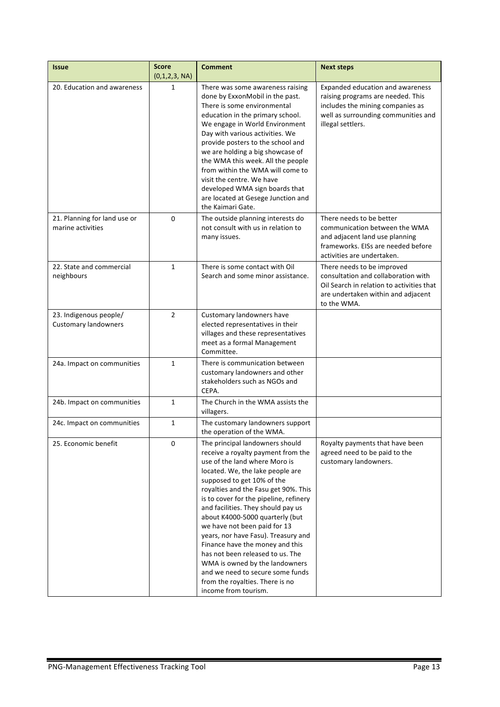| <b>Issue</b>                                          | <b>Score</b><br>(0,1,2,3, NA) | <b>Comment</b>                                                                                                                                                                                                                                                                                                                                                                                                                                                                                                                                                                                                     | <b>Next steps</b>                                                                                                                                                     |
|-------------------------------------------------------|-------------------------------|--------------------------------------------------------------------------------------------------------------------------------------------------------------------------------------------------------------------------------------------------------------------------------------------------------------------------------------------------------------------------------------------------------------------------------------------------------------------------------------------------------------------------------------------------------------------------------------------------------------------|-----------------------------------------------------------------------------------------------------------------------------------------------------------------------|
| 20. Education and awareness                           | $\mathbf{1}$                  | There was some awareness raising<br>done by ExxonMobil in the past.<br>There is some environmental<br>education in the primary school.<br>We engage in World Environment<br>Day with various activities. We<br>provide posters to the school and<br>we are holding a big showcase of<br>the WMA this week. All the people<br>from within the WMA will come to<br>visit the centre. We have<br>developed WMA sign boards that<br>are located at Gesege Junction and<br>the Kaimari Gate.                                                                                                                            | Expanded education and awareness<br>raising programs are needed. This<br>includes the mining companies as<br>well as surrounding communities and<br>illegal settlers. |
| 21. Planning for land use or<br>marine activities     | 0                             | The outside planning interests do<br>not consult with us in relation to<br>many issues.                                                                                                                                                                                                                                                                                                                                                                                                                                                                                                                            | There needs to be better<br>communication between the WMA<br>and adjacent land use planning<br>frameworks. EISs are needed before<br>activities are undertaken.       |
| 22. State and commercial<br>neighbours                | $\mathbf{1}$                  | There is some contact with Oil<br>Search and some minor assistance.                                                                                                                                                                                                                                                                                                                                                                                                                                                                                                                                                | There needs to be improved<br>consultation and collaboration with<br>Oil Search in relation to activities that<br>are undertaken within and adjacent<br>to the WMA.   |
| 23. Indigenous people/<br><b>Customary landowners</b> | $\overline{2}$                | Customary landowners have<br>elected representatives in their<br>villages and these representatives<br>meet as a formal Management<br>Committee.                                                                                                                                                                                                                                                                                                                                                                                                                                                                   |                                                                                                                                                                       |
| 24a. Impact on communities                            | $\mathbf{1}$                  | There is communication between<br>customary landowners and other<br>stakeholders such as NGOs and<br>CEPA.                                                                                                                                                                                                                                                                                                                                                                                                                                                                                                         |                                                                                                                                                                       |
| 24b. Impact on communities                            | 1                             | The Church in the WMA assists the<br>villagers.                                                                                                                                                                                                                                                                                                                                                                                                                                                                                                                                                                    |                                                                                                                                                                       |
| 24c. Impact on communities                            | $\mathbf{1}$                  | The customary landowners support<br>the operation of the WMA.                                                                                                                                                                                                                                                                                                                                                                                                                                                                                                                                                      |                                                                                                                                                                       |
| 25. Economic benefit                                  | 0                             | The principal landowners should<br>receive a royalty payment from the<br>use of the land where Moro is<br>located. We, the lake people are<br>supposed to get 10% of the<br>royalties and the Fasu get 90%. This<br>is to cover for the pipeline, refinery<br>and facilities. They should pay us<br>about K4000-5000 quarterly (but<br>we have not been paid for 13<br>years, nor have Fasu). Treasury and<br>Finance have the money and this<br>has not been released to us. The<br>WMA is owned by the landowners<br>and we need to secure some funds<br>from the royalties. There is no<br>income from tourism. | Royalty payments that have been<br>agreed need to be paid to the<br>customary landowners.                                                                             |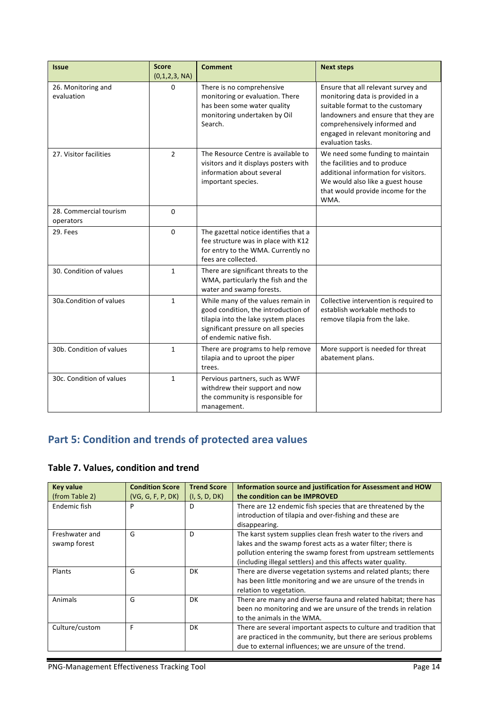| <b>Issue</b>                        | <b>Score</b><br>(0,1,2,3, NA) | <b>Comment</b>                                                                                                                                                                     | <b>Next steps</b>                                                                                                                                                                                                                             |
|-------------------------------------|-------------------------------|------------------------------------------------------------------------------------------------------------------------------------------------------------------------------------|-----------------------------------------------------------------------------------------------------------------------------------------------------------------------------------------------------------------------------------------------|
| 26. Monitoring and<br>evaluation    | 0                             | There is no comprehensive<br>monitoring or evaluation. There<br>has been some water quality<br>monitoring undertaken by Oil<br>Search.                                             | Ensure that all relevant survey and<br>monitoring data is provided in a<br>suitable format to the customary<br>landowners and ensure that they are<br>comprehensively informed and<br>engaged in relevant monitoring and<br>evaluation tasks. |
| 27. Visitor facilities              | $\overline{2}$                | The Resource Centre is available to<br>visitors and it displays posters with<br>information about several<br>important species.                                                    | We need some funding to maintain<br>the facilities and to produce<br>additional information for visitors.<br>We would also like a guest house<br>that would provide income for the<br>WMA.                                                    |
| 28. Commercial tourism<br>operators | $\Omega$                      |                                                                                                                                                                                    |                                                                                                                                                                                                                                               |
| 29. Fees                            | $\Omega$                      | The gazettal notice identifies that a<br>fee structure was in place with K12<br>for entry to the WMA. Currently no<br>fees are collected.                                          |                                                                                                                                                                                                                                               |
| 30. Condition of values             | $\mathbf{1}$                  | There are significant threats to the<br>WMA, particularly the fish and the<br>water and swamp forests.                                                                             |                                                                                                                                                                                                                                               |
| 30a.Condition of values             | $\mathbf{1}$                  | While many of the values remain in<br>good condition, the introduction of<br>tilapia into the lake system places<br>significant pressure on all species<br>of endemic native fish. | Collective intervention is required to<br>establish workable methods to<br>remove tilapia from the lake.                                                                                                                                      |
| 30b. Condition of values            | $\mathbf{1}$                  | There are programs to help remove<br>tilapia and to uproot the piper<br>trees.                                                                                                     | More support is needed for threat<br>abatement plans.                                                                                                                                                                                         |
| 30c. Condition of values            | $\mathbf{1}$                  | Pervious partners, such as WWF<br>withdrew their support and now<br>the community is responsible for<br>management.                                                                |                                                                                                                                                                                                                                               |

# **Part 5: Condition and trends of protected area values**

# **Table 7. Values, condition and trend**

| <b>Key value</b><br>(from Table 2) | <b>Condition Score</b><br>(VG, G, F, P, DK) | <b>Trend Score</b><br>(I, S, D, DK) | Information source and justification for Assessment and HOW<br>the condition can be IMPROVED                                                                                                                                                                  |
|------------------------------------|---------------------------------------------|-------------------------------------|---------------------------------------------------------------------------------------------------------------------------------------------------------------------------------------------------------------------------------------------------------------|
| Endemic fish                       | P                                           | D                                   | There are 12 endemic fish species that are threatened by the<br>introduction of tilapia and over-fishing and these are<br>disappearing.                                                                                                                       |
| Freshwater and<br>swamp forest     | G                                           | D                                   | The karst system supplies clean fresh water to the rivers and<br>lakes and the swamp forest acts as a water filter; there is<br>pollution entering the swamp forest from upstream settlements<br>(including illegal settlers) and this affects water quality. |
| Plants                             | G                                           | DK.                                 | There are diverse vegetation systems and related plants; there<br>has been little monitoring and we are unsure of the trends in<br>relation to vegetation.                                                                                                    |
| Animals                            | G                                           | DK                                  | There are many and diverse fauna and related habitat; there has<br>been no monitoring and we are unsure of the trends in relation<br>to the animals in the WMA.                                                                                               |
| Culture/custom                     | F                                           | DK                                  | There are several important aspects to culture and tradition that<br>are practiced in the community, but there are serious problems<br>due to external influences; we are unsure of the trend.                                                                |